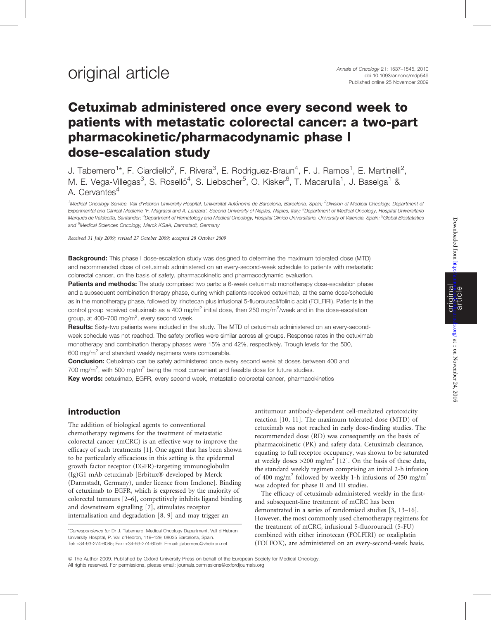# Cetuximab administered once every second week to patients with metastatic colorectal cancer: a two-part pharmacokinetic/pharmacodynamic phase I dose-escalation study

J. Tabernero<sup>1\*</sup>, F. Ciardiello<sup>2</sup>, F. Rivera<sup>3</sup>, E. Rodriguez-Braun<sup>4</sup>, F. J. Ramos<sup>1</sup>, E. Martinelli<sup>2</sup>, M. E. Vega-Villegas<sup>3</sup>, S. Roselló<sup>4</sup>, S. Liebscher<sup>5</sup>, O. Kisker<sup>6</sup>, T. Macarulla<sup>1</sup>, J. Baselga<sup>1</sup> & A. Cervantes<sup>4</sup>

<sup>1</sup>Medical Oncology Service, Vall d'Hebron University Hospital, Universitat Autònoma de Barcelona, Barcelona, Spain; <sup>2</sup>Division of Medical Oncology, Department of Experimental and Clinical Medicine 'F. Magrassi and A. Lanzara', Second University of Naples, Naples, Italy; <sup>3</sup>Department of Medical Oncology, Hospital Universitario Marqués de Valdecilla, Santander; <sup>4</sup>Department of Hematology and Medical Oncology, Hospital Clinico Universitario, University of Valencia, Spain; <sup>5</sup>Global Biostatistics and <sup>6</sup>Medical Sciences Oncology, Merck KGaA, Darmstadt, Germany

Received 31 July 2009; revised 27 October 2009; accepted 28 October 2009

**Background:** This phase I dose-escalation study was designed to determine the maximum tolerated dose (MTD) and recommended dose of cetuximab administered on an every-second-week schedule to patients with metastatic colorectal cancer, on the basis of safety, pharmacokinetic and pharmacodynamic evaluation.

Patients and methods: The study comprised two parts: a 6-week cetuximab monotherapy dose-escalation phase and a subsequent combination therapy phase, during which patients received cetuximab, at the same dose/schedule as in the monotherapy phase, followed by irinotecan plus infusional 5-fluorouracil/folinic acid (FOLFIRI). Patients in the control group received cetuximab as a 400 mg/m<sup>2</sup> initial dose, then 250 mg/m<sup>2</sup>/week and in the dose-escalation group, at 400–700 mg/m<sup>2</sup>, every second week.

Results: Sixty-two patients were included in the study. The MTD of cetuximab administered on an every-secondweek schedule was not reached. The safety profiles were similar across all groups. Response rates in the cetuximab monotherapy and combination therapy phases were 15% and 42%, respectively. Trough levels for the 500, 600 mg/m<sup>2</sup> and standard weekly regimens were comparable.

Conclusion: Cetuximab can be safely administered once every second week at doses between 400 and 700 mg/m<sup>2</sup>, with 500 mg/m<sup>2</sup> being the most convenient and feasible dose for future studies.

Key words: cetuximab, EGFR, every second week, metastatic colorectal cancer, pharmacokinetics

### introduction

The addition of biological agents to conventional chemotherapy regimens for the treatment of metastatic colorectal cancer (mCRC) is an effective way to improve the efficacy of such treatments [1]. One agent that has been shown to be particularly efficacious in this setting is the epidermal growth factor receptor (EGFR)-targeting immunoglobulin  $(Ig)G1$  mAb cetuximab [Erbitux $\mathcal D$  developed by Merck] (Darmstadt, Germany), under licence from Imclone]. Binding of cetuximab to EGFR, which is expressed by the majority of colorectal tumours [2–6], competitively inhibits ligand binding and downstream signalling [7], stimulates receptor internalisation and degradation [8, 9] and may trigger an

antitumour antibody-dependent cell-mediated cytotoxicity reaction [10, 11]. The maximum tolerated dose (MTD) of cetuximab was not reached in early dose-finding studies. The recommended dose (RD) was consequently on the basis of pharmacokinetic (PK) and safety data. Cetuximab clearance, equating to full receptor occupancy, was shown to be saturated at weekly doses  $>200$  mg/m<sup>2</sup> [12]. On the basis of these data, the standard weekly regimen comprising an initial 2-h infusion of 400 mg/m<sup>2</sup> followed by weekly 1-h infusions of 250 mg/m<sup>2</sup> was adopted for phase II and III studies.

The efficacy of cetuximab administered weekly in the firstand subsequent-line treatment of mCRC has been demonstrated in a series of randomised studies [3, 13–16]. However, the most commonly used chemotherapy regimens for the treatment of mCRC, infusional 5-fluorouracil (5-FU) combined with either irinotecan (FOLFIRI) or oxaliplatin (FOLFOX), are administered on an every-second-week basis.

ª The Author 2009. Published by Oxford University Press on behalf of the European Society for Medical Oncology. All rights reserved. For permissions, please email: journals.permissions@oxfordjournals.org

<sup>\*</sup>Correspondence to: Dr J. Tabernero, Medical Oncology Department, Vall d'Hebron University Hospital, P. Vall d'Hebron, 119–129, 08035 Barcelona, Spain. Tel: +34-93-274-6085; Fax: +34-93-274-6059; E-mail: jtabernero@vhebron.net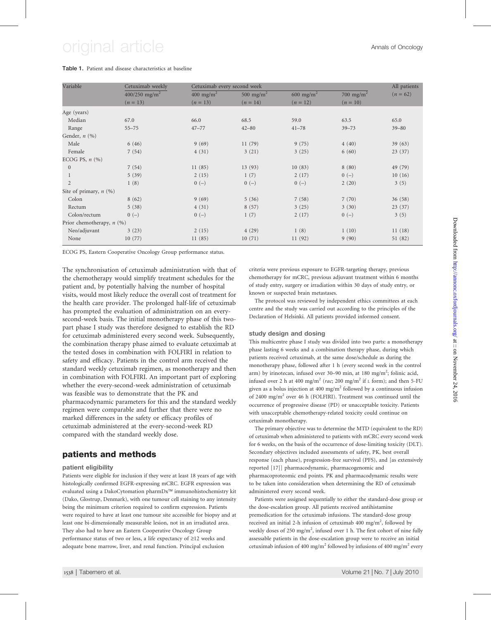# original article Annals of Oncology

#### Table 1. Patient and disease characteristics at baseline

| Variable                    | Cetuximab weekly            | Cetuximab every second week |                       |                       |                       |            |
|-----------------------------|-----------------------------|-----------------------------|-----------------------|-----------------------|-----------------------|------------|
|                             | $400/250$ mg/m <sup>2</sup> | $400 \text{ mg/m}^2$        | 500 mg/m <sup>2</sup> | 600 mg/m <sup>2</sup> | 700 mg/m <sup>2</sup> | $(n = 62)$ |
|                             | $(n = 13)$                  | $(n = 13)$                  | $(n = 14)$            | $(n = 12)$            | $(n = 10)$            |            |
| Age (years)                 |                             |                             |                       |                       |                       |            |
| Median                      | 67.0                        | 66.0                        | 68.5                  | 59.0                  | 63.5                  | 65.0       |
| Range                       | $55 - 75$                   | $47 - 77$                   | $42 - 80$             | $41 - 78$             | $39 - 73$             | $39 - 80$  |
| Gender, $n$ $(\%)$          |                             |                             |                       |                       |                       |            |
| Male                        | 6(46)                       | 9(69)                       | 11(79)                | 9(75)                 | 4(40)                 | 39(63)     |
| Female                      | 7(54)                       | 4(31)                       | 3(21)                 | 3(25)                 | 6(60)                 | 23(37)     |
| ECOG PS, $n$ $(\% )$        |                             |                             |                       |                       |                       |            |
| $\mathbf{0}$                | 7(54)                       | 11(85)                      | 13(93)                | 10(83)                | 8(80)                 | 49 (79)    |
|                             | 5(39)                       | 2(15)                       | 1(7)                  | 2(17)                 | $0(-)$                | 10(16)     |
| $\overline{2}$              | 1(8)                        | $0(-)$                      | $0(-)$                | $0(-)$                | 2(20)                 | 3(5)       |
| Site of primary, $n$ (%)    |                             |                             |                       |                       |                       |            |
| Colon                       | 8(62)                       | 9(69)                       | 5(36)                 | 7(58)                 | 7(70)                 | 36(58)     |
| Rectum                      | 5(38)                       | 4(31)                       | 8(57)                 | 3(25)                 | 3(30)                 | 23(37)     |
| Colon/rectum                | $0(-)$                      | $0(-)$                      | 1(7)                  | 2(17)                 | $0(-)$                | 3(5)       |
| Prior chemotherapy, $n$ (%) |                             |                             |                       |                       |                       |            |
| Neo/adjuvant                | 3(23)                       | 2(15)                       | 4(29)                 | 1(8)                  | 1(10)                 | 11(18)     |
| None                        | 10(77)                      | 11(85)                      | 10(71)                | 11(92)                | 9(90)                 | 51 (82)    |

ECOG PS, Eastern Cooperative Oncology Group performance status.

The synchronisation of cetuximab administration with that of the chemotherapy would simplify treatment schedules for the patient and, by potentially halving the number of hospital visits, would most likely reduce the overall cost of treatment for the health care provider. The prolonged half-life of cetuximab has prompted the evaluation of administration on an everysecond-week basis. The initial monotherapy phase of this twopart phase I study was therefore designed to establish the RD for cetuximab administered every second week. Subsequently, the combination therapy phase aimed to evaluate cetuximab at the tested doses in combination with FOLFIRI in relation to safety and efficacy. Patients in the control arm received the standard weekly cetuximab regimen, as monotherapy and then in combination with FOLFIRI. An important part of exploring whether the every-second-week administration of cetuximab was feasible was to demonstrate that the PK and pharmacodynamic parameters for this and the standard weekly regimen were comparable and further that there were no marked differences in the safety or efficacy profiles of cetuximab administered at the every-second-week RD compared with the standard weekly dose.

### patients and methods

#### patient eligibility

Patients were eligible for inclusion if they were at least 18 years of age with histologically confirmed EGFR-expressing mCRC. EGFR expression was evaluated using a DakoCytomation pharmDx™ immunohistochemistry kit (Dako, Glostrup, Denmark), with one tumour cell staining to any intensity being the minimum criterion required to confirm expression. Patients were required to have at least one tumour site accessible for biopsy and at least one bi-dimensionally measurable lesion, not in an irradiated area. They also had to have an Eastern Cooperative Oncology Group performance status of two or less, a life expectancy of  $\geq$ 12 weeks and adequate bone marrow, liver, and renal function. Principal exclusion

criteria were previous exposure to EGFR-targeting therapy, previous chemotherapy for mCRC, previous adjuvant treatment within 6 months of study entry, surgery or irradiation within 30 days of study entry, or known or suspected brain metastases.

The protocol was reviewed by independent ethics committees at each centre and the study was carried out according to the principles of the Declaration of Helsinki. All patients provided informed consent.

#### study design and dosing

This multicentre phase I study was divided into two parts: a monotherapy phase lasting 6 weeks and a combination therapy phase, during which patients received cetuximab, at the same dose/schedule as during the monotherapy phase, followed after 1 h (every second week in the control arm) by irinotecan, infused over 30–90 min, at 180 mg/m<sup>2</sup>; folinic acid, infused over 2 h at 400 mg/m<sup>2</sup> (rac; 200 mg/m<sup>2</sup> if L form); and then 5-FU given as a bolus injection at 400 mg/ $m^2$  followed by a continuous infusion of 2400 mg/m<sup>2</sup> over 46 h (FOLFIRI). Treatment was continued until the occurrence of progressive disease (PD) or unacceptable toxicity. Patients with unacceptable chemotherapy-related toxicity could continue on cetuximab monotherapy.

The primary objective was to determine the MTD (equivalent to the RD) of cetuximab when administered to patients with mCRC every second week for 6 weeks, on the basis of the occurrence of dose-limiting toxicity (DLT). Secondary objectives included assessments of safety, PK, best overall response (each phase), progression-free survival (PFS), and [as extensively reported [17]] pharmacodynamic, pharmacogenomic and pharmacoproteomic end points. PK and pharmacodynamic results were to be taken into consideration when determining the RD of cetuximab administered every second week.

Patients were assigned sequentially to either the standard-dose group or the dose-escalation group. All patients received antihistamine premedication for the cetuximab infusions. The standard-dose group received an initial 2-h infusion of cetuximab 400 mg/m<sup>2</sup>, followed by weekly doses of 250 mg/m<sup>2</sup>, infused over 1 h. The first cohort of nine fully assessable patients in the dose-escalation group were to receive an initial cetuximab infusion of 400 mg/m<sup>2</sup> followed by infusions of 400 mg/m<sup>2</sup> every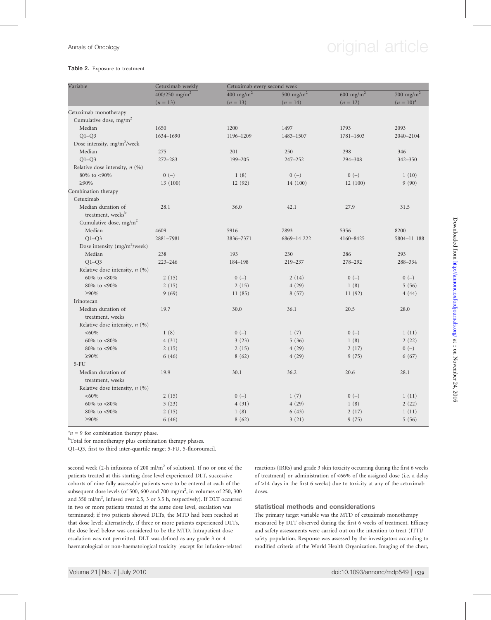# Annals of Oncology **Annals** of Oncology

#### Table 2. Exposure to treatment

| Variable                                 | Cetuximab weekly          |                      | Cetuximab every second week |                       |                       |  |  |  |
|------------------------------------------|---------------------------|----------------------|-----------------------------|-----------------------|-----------------------|--|--|--|
|                                          | 400/250 mg/m <sup>2</sup> | $400 \text{ mg/m}^2$ | 500 mg/m <sup>2</sup>       | 600 mg/m <sup>2</sup> | 700 mg/m <sup>2</sup> |  |  |  |
|                                          | $(n = 13)$                | $(n = 13)$           | $(n = 14)$                  | $(n = 12)$            | $(n = 10)^{a}$        |  |  |  |
| Cetuximab monotherapy                    |                           |                      |                             |                       |                       |  |  |  |
| Cumulative dose, $mg/m2$                 |                           |                      |                             |                       |                       |  |  |  |
| Median                                   | 1650                      | 1200                 | 1497                        | 1793                  | 2093                  |  |  |  |
| $Q1-Q3$                                  | 1634-1690                 | 1196-1209            | 1483-1507                   | 1781-1803             | 2040-2104             |  |  |  |
| Dose intensity, mg/m <sup>2</sup> /week  |                           |                      |                             |                       |                       |  |  |  |
| Median                                   | 275                       | 201                  | 250                         | 298                   | 346                   |  |  |  |
| $Q1 - Q3$                                | $272 - 283$               | 199-205              | $247 - 252$                 | 294-308               | 342-350               |  |  |  |
| Relative dose intensity, $n$ (%)         |                           |                      |                             |                       |                       |  |  |  |
| 80% to <90%                              | $0\ (-)$                  | 1(8)                 | $0(-)$                      | $0(-)$                | 1(10)                 |  |  |  |
| ≥90%                                     | 13(100)                   | 12(92)               | 14(100)                     | 12(100)               | 9(90)                 |  |  |  |
| Combination therapy                      |                           |                      |                             |                       |                       |  |  |  |
| Cetuximab                                |                           |                      |                             |                       |                       |  |  |  |
| Median duration of                       | 28.1                      | 36.0                 | 42.1                        | 27.9                  | 31.5                  |  |  |  |
| treatment, weeks <sup>b</sup>            |                           |                      |                             |                       |                       |  |  |  |
| Cumulative dose, mg/m <sup>2</sup>       |                           |                      |                             |                       |                       |  |  |  |
| Median                                   | 4609                      | 5916                 | 7893                        | 5356                  | 8200                  |  |  |  |
| $Q1-Q3$                                  | 2881-7981                 | 3836-7371            | 6869-14 222                 | 4160-8425             | 5804-11 188           |  |  |  |
| Dose intensity (mg/m <sup>2</sup> /week) |                           |                      |                             |                       |                       |  |  |  |
| Median                                   | 238                       | 193                  | 230                         | 286                   | 293                   |  |  |  |
| $Q1 - Q3$                                | $223 - 246$               | 184-198              | 219-237                     | 278-292               | 288-334               |  |  |  |
| Relative dose intensity, $n$ (%)         |                           |                      |                             |                       |                       |  |  |  |
| 60% to $<80\%$                           | 2(15)                     | $0(-)$               | 2(14)                       | $0(-)$                | $0(-)$                |  |  |  |
| 80% to <90%                              | 2(15)                     | 2(15)                | 4(29)                       | 1(8)                  | 5(56)                 |  |  |  |
| ≥90%                                     | 9(69)                     | 11(85)               | 8(57)                       | 11(92)                | 4(44)                 |  |  |  |
| Irinotecan                               |                           |                      |                             |                       |                       |  |  |  |
| Median duration of                       | 19.7                      | 30.0                 | 36.1                        | 20.5                  | 28.0                  |  |  |  |
| treatment, weeks                         |                           |                      |                             |                       |                       |  |  |  |
| Relative dose intensity, $n$ (%)         |                           |                      |                             |                       |                       |  |  |  |
| $<60\%$                                  | 1(8)                      | $0(-)$               | 1(7)                        | $0(-)$                | 1(11)                 |  |  |  |
| 60% to <80%                              | 4(31)                     | 3(23)                | 5(36)                       | 1(8)                  | 2(22)                 |  |  |  |
| 80% to <90%                              | 2(15)                     | 2(15)                | 4(29)                       | 2(17)                 | $0(-)$                |  |  |  |
| ≥90%                                     | 6(46)                     | 8(62)                | 4(29)                       | 9(75)                 | 6(67)                 |  |  |  |
| $5-FU$                                   |                           |                      |                             |                       |                       |  |  |  |
| Median duration of                       | 19.9                      | 30.1                 | 36.2                        | 20.6                  | 28.1                  |  |  |  |
| treatment, weeks                         |                           |                      |                             |                       |                       |  |  |  |
| Relative dose intensity, $n$ (%)         |                           |                      |                             |                       |                       |  |  |  |
| $<60\%$                                  | 2(15)                     | $0(-)$               | 1(7)                        | $0(-)$                | 1(11)                 |  |  |  |
| 60% to <80%                              | 3(23)                     | 4(31)                | 4(29)                       | 1(8)                  | 2(22)                 |  |  |  |
| 80% to <90%                              | 2(15)                     | 1(8)                 | 6(43)                       | 2(17)                 | 1(11)                 |  |  |  |
| ≥90%                                     | 6(46)                     | 8(62)                | 3(21)                       | 9(75)                 | 5(56)                 |  |  |  |

 $n = 9$  for combination therapy phase.

<sup>b</sup>Total for monotherapy plus combination therapy phases.

Q1–Q3, first to third inter-quartile range; 5-FU, 5-fluorouracil.

second week (2-h infusions of 200 ml/m<sup>2</sup> of solution). If no or one of the patients treated at this starting dose level experienced DLT, successive cohorts of nine fully assessable patients were to be entered at each of the subsequent dose levels (of 500, 600 and 700 mg/m<sup>2</sup>, in volumes of 250, 300 and 350 ml/m<sup>2</sup>, infused over 2.5, 3 or 3.5 h, respectively). If DLT occurred in two or more patients treated at the same dose level, escalation was terminated; if two patients showed DLTs, the MTD had been reached at that dose level; alternatively, if three or more patients experienced DLTs, the dose level below was considered to be the MTD. Intrapatient dose escalation was not permitted. DLT was defined as any grade 3 or 4 haematological or non-haematological toxicity [except for infusion-related

reactions (IRRs) and grade 3 skin toxicity occurring during the first 6 weeks of treatment] or administration of <66% of the assigned dose (i.e. a delay of >14 days in the first 6 weeks) due to toxicity at any of the cetuximab doses.

statistical methods and considerations

The primary target variable was the MTD of cetuximab monotherapy measured by DLT observed during the first 6 weeks of treatment. Efficacy and safety assessments were carried out on the intention to treat (ITT)/ safety population. Response was assessed by the investigators according to modified criteria of the World Health Organization. Imaging of the chest,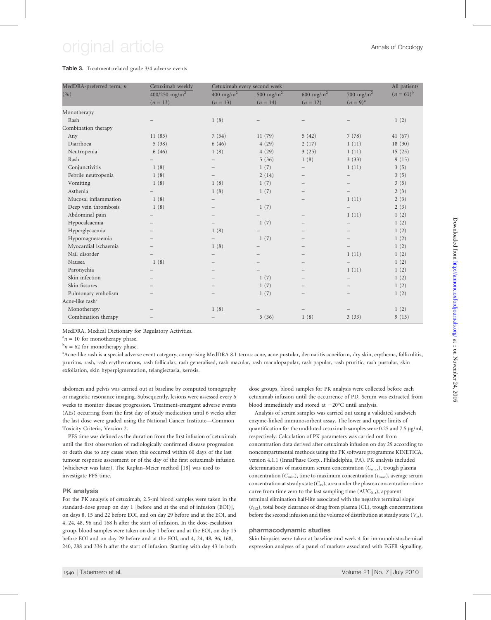# original article **Annals of Oncology**

#### Table 3. Treatment-related grade 3/4 adverse events

| MedDRA-preferred term, n    | Cetuximab weekly          | Cetuximab every second week |                       |                          |                          | All patients   |
|-----------------------------|---------------------------|-----------------------------|-----------------------|--------------------------|--------------------------|----------------|
| (9/0)                       | 400/250 mg/m <sup>2</sup> | 400 mg/m <sup>2</sup>       | 500 mg/m <sup>2</sup> | 600 mg/m <sup>2</sup>    | 700 mg/m <sup>2</sup>    | $(n = 61)^{b}$ |
|                             | $(n = 13)$                | $(n = 13)$                  | $(n = 14)$            | $(n = 12)$               | $(n=9)^{a}$              |                |
| Monotherapy                 |                           |                             |                       |                          |                          |                |
| Rash                        |                           | 1(8)                        |                       |                          |                          | 1(2)           |
| Combination therapy         |                           |                             |                       |                          |                          |                |
| Any                         | 11(85)                    | 7(54)                       | 11(79)                | 5(42)                    | 7(78)                    | 41(67)         |
| Diarrhoea                   | 5(38)                     | 6(46)                       | 4(29)                 | 2(17)                    | 1(11)                    | 18(30)         |
| Neutropenia                 | 6(46)                     | 1(8)                        | 4(29)                 | 3(25)                    | 1(11)                    | 15(25)         |
| Rash                        |                           | $\qquad \qquad -$           | 5(36)                 | 1(8)                     | 3(33)                    | 9(15)          |
| Conjunctivitis              | 1(8)                      |                             | 1(7)                  |                          | 1(11)                    | 3(5)           |
| Febrile neutropenia         | 1(8)                      |                             | 2(14)                 |                          |                          | 3(5)           |
| Vomiting                    | 1(8)                      | 1(8)                        | 1(7)                  |                          |                          | 3(5)           |
| Asthenia                    |                           | 1(8)                        | 1(7)                  |                          | $\overline{\phantom{0}}$ | 2(3)           |
| Mucosal inflammation        | 1(8)                      |                             |                       |                          | 1(11)                    | 2(3)           |
| Deep vein thrombosis        | 1(8)                      |                             | 1(7)                  |                          |                          | 2(3)           |
| Abdominal pain              |                           |                             |                       |                          | 1(11)                    | 1(2)           |
| Hypocalcaemia               |                           |                             | 1(7)                  |                          | $\qquad \qquad -$        | 1(2)           |
| Hyperglycaemia              |                           | 1(8)                        |                       |                          |                          | 1(2)           |
| Hypomagnesaemia             |                           |                             | 1(7)                  |                          |                          | 1(2)           |
| Myocardial ischaemia        |                           | 1(8)                        |                       |                          |                          | 1(2)           |
| Nail disorder               |                           |                             |                       |                          | 1(11)                    | 1(2)           |
| Nausea                      | 1(8)                      |                             |                       |                          |                          | 1(2)           |
| Paronychia                  |                           |                             |                       | $\overline{\phantom{0}}$ | 1(11)                    | 1(2)           |
| Skin infection              |                           |                             | 1(7)                  |                          |                          | 1(2)           |
| Skin fissures               |                           |                             | 1(7)                  |                          |                          | 1(2)           |
| Pulmonary embolism          |                           |                             | 1(7)                  |                          |                          | 1(2)           |
| Acne-like rash <sup>c</sup> |                           |                             |                       |                          |                          |                |
| Monotherapy                 |                           | 1(8)                        |                       |                          |                          | 1(2)           |
| Combination therapy         |                           |                             | 5(36)                 | 1(8)                     | 3(33)                    | 9(15)          |

MedDRA, Medical Dictionary for Regulatory Activities.

 $a_n = 10$  for monotherapy phase.

 $b_n = 62$  for monotherapy phase.

c Acne-like rash is a special adverse event category, comprising MedDRA 8.1 terms: acne, acne pustular, dermatitis acneiform, dry skin, erythema, folliculitis, pruritus, rash, rash erythematous, rash follicular, rash generalised, rash macular, rash maculopapular, rash papular, rash pruritic, rash pustular, skin exfoliation, skin hyperpigmentation, telangiectasia, xerosis.

abdomen and pelvis was carried out at baseline by computed tomography or magnetic resonance imaging. Subsequently, lesions were assessed every 6 weeks to monitor disease progression. Treatment-emergent adverse events (AEs) occurring from the first day of study medication until 6 weeks after the last dose were graded using the National Cancer Institute—Common Toxicity Criteria, Version 2.

PFS time was defined as the duration from the first infusion of cetuximab until the first observation of radiologically confirmed disease progression or death due to any cause when this occurred within 60 days of the last tumour response assessment or of the day of the first cetuximab infusion (whichever was later). The Kaplan–Meier method [18] was used to investigate PFS time.

#### PK analysis

For the PK analysis of cetuximab, 2.5-ml blood samples were taken in the standard-dose group on day 1 [before and at the end of infusion (EOI)], on days 8, 15 and 22 before EOI, and on day 29 before and at the EOI, and 4, 24, 48, 96 and 168 h after the start of infusion. In the dose-escalation group, blood samples were taken on day 1 before and at the EOI, on day 15 before EOI and on day 29 before and at the EOI, and 4, 24, 48, 96, 168, 240, 288 and 336 h after the start of infusion. Starting with day 43 in both

dose groups, blood samples for PK analysis were collected before each cetuximab infusion until the occurrence of PD. Serum was extracted from blood immediately and stored at  $-20^{\circ}$ C until analysis.

Analysis of serum samples was carried out using a validated sandwich enzyme-linked immunosorbent assay. The lower and upper limits of quantification for the undiluted cetuximab samples were 0.25 and 7.5 µg/ml, respectively. Calculation of PK parameters was carried out from concentration data derived after cetuximab infusion on day 29 according to noncompartmental methods using the PK software programme KINETICA, version 4.1.1 (InnaPhase Corp., Philadelphia, PA). PK analysis included determinations of maximum serum concentration  $(C_{\text{max}})$ , trough plasma concentration ( $C_{\text{min}}$ ), time to maximum concentration ( $t_{\text{max}}$ ), average serum concentration at steady state  $(C_{av})$ , area under the plasma concentration–time curve from time zero to the last sampling time  $(AUC_{0-t})$ , apparent terminal elimination half-life associated with the negative terminal slope  $(t_{1/2})$ , total body clearance of drug from plasma (CL), trough concentrations before the second infusion and the volume of distribution at steady state  $(V_{ss})$ .

#### pharmacodynamic studies

Skin biopsies were taken at baseline and week 4 for immunohistochemical expression analyses of a panel of markers associated with EGFR signalling.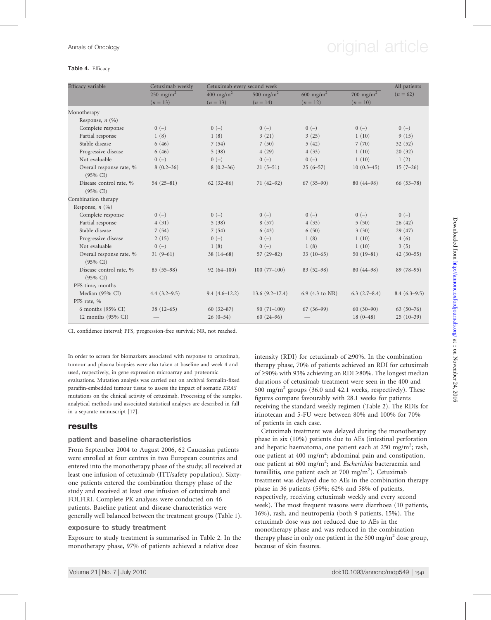# Annals of Oncology **Annals of Oncology** original article

#### Table 4. Efficacy

| Efficacy variable                               | Cetuximab weekly      | Cetuximab every second week | All patients          |                       |                |                |
|-------------------------------------------------|-----------------------|-----------------------------|-----------------------|-----------------------|----------------|----------------|
|                                                 | 250 mg/m <sup>2</sup> | 400 mg/m <sup>2</sup>       | 500 mg/m <sup>2</sup> | 600 mg/m <sup>2</sup> | 700 mg/m $^2$  | $(n = 62)$     |
|                                                 | $(n = 13)$            | $(n = 13)$                  | $(n = 14)$            | $(n = 12)$            | $(n = 10)$     |                |
| Monotherapy                                     |                       |                             |                       |                       |                |                |
| Response, $n$ (%)                               |                       |                             |                       |                       |                |                |
| Complete response                               | $0(-)$                | $0(-)$                      | $0(-)$                | $0(-)$                | $0(-)$         | $0(-)$         |
| Partial response                                | 1(8)                  | 1(8)                        | 3(21)                 | 3(25)                 | 1(10)          | 9(15)          |
| Stable disease                                  | 6(46)                 | 7(54)                       | 7(50)                 | 5(42)                 | 7(70)          | 32(52)         |
| Progressive disease                             | 6(46)                 | 5(38)                       | 4(29)                 | 4(33)                 | 1(10)          | 20(32)         |
| Not evaluable                                   | $0(-)$                | $0(-)$                      | $0(-)$                | $0(-)$                | 1(10)          | 1(2)           |
| Overall response rate, %<br>$(95\% \text{ CI})$ | $8(0.2 - 36)$         | $8(0.2 - 36)$               | $21(5-51)$            | $25(6-57)$            | $10(0.3-45)$   | $15(7-26)$     |
| Disease control rate, %                         | $54(25-81)$           | $62(32 - 86)$               | $71(42-92)$           | $67(35-90)$           | $80(44-98)$    | $66(53-78)$    |
| $(95\% \text{ CI})$                             |                       |                             |                       |                       |                |                |
| Combination therapy                             |                       |                             |                       |                       |                |                |
| Response, $n$ (%)                               |                       |                             |                       |                       |                |                |
| Complete response                               | $0(-)$                | $0(-)$                      | $0(-)$                | $0(-)$                | $0(-)$         | $0(-)$         |
| Partial response                                | 4(31)                 | 5(38)                       | 8(57)                 | 4(33)                 | 5(50)          | 26(42)         |
| Stable disease                                  | 7(54)                 | 7(54)                       | 6(43)                 | 6(50)                 | 3(30)          | 29 (47)        |
| Progressive disease                             | 2(15)                 | $0(-)$                      | $0(-)$                | 1(8)                  | 1(10)          | 4(6)           |
| Not evaluable                                   | $0(-)$                | 1(8)                        | $0(-)$                | 1(8)                  | 1(10)          | 3(5)           |
| Overall response rate, %<br>$(95\% \text{ CI})$ | $31(9-61)$            | $38(14 - 68)$               | $57(29 - 82)$         | $33(10-65)$           | $50(19-81)$    | $42(30-55)$    |
| Disease control rate, %<br>$(95\% \text{ CI})$  | $85(55-98)$           | $92(64-100)$                | $100(77-100)$         | $83(52-98)$           | $80(44 - 98)$  | 89 (78-95)     |
| PFS time, months                                |                       |                             |                       |                       |                |                |
| Median (95% CI)                                 | $4.4(3.2-9.5)$        | $9.4(4.6-12.2)$             | $13.6(9.2 - 17.4)$    | 6.9 (4.3 to NR)       | $6.3(2.7-8.4)$ | $8.4(6.3-9.5)$ |
| PFS rate, %                                     |                       |                             |                       |                       |                |                |
| 6 months (95% CI)                               | $38(12-65)$           | $60(32-87)$                 | $90(71-100)$          | $67(36-99)$           | $60(30-90)$    | $63(50-76)$    |
| 12 months (95% CI)                              |                       | $26(0-54)$                  | $60(24 - 96)$         |                       | $18(0-48)$     | $25(10-39)$    |

CI, confidence interval; PFS, progression-free survival; NR, not reached.

In order to screen for biomarkers associated with response to cetuximab, tumour and plasma biopsies were also taken at baseline and week 4 and used, respectively, in gene expression microarray and proteomic evaluations. Mutation analysis was carried out on archival formalin-fixed paraffin-embedded tumour tissue to assess the impact of somatic KRAS mutations on the clinical activity of cetuximab. Processing of the samples, analytical methods and associated statistical analyses are described in full in a separate manuscript [17].

### results

### patient and baseline characteristics

From September 2004 to August 2006, 62 Caucasian patients were enrolled at four centres in two European countries and entered into the monotherapy phase of the study; all received at least one infusion of cetuximab (ITT/safety population). Sixtyone patients entered the combination therapy phase of the study and received at least one infusion of cetuximab and FOLFIRI. Complete PK analyses were conducted on 46 patients. Baseline patient and disease characteristics were generally well balanced between the treatment groups (Table 1).

#### exposure to study treatment

Exposure to study treatment is summarised in Table 2. In the monotherapy phase, 97% of patients achieved a relative dose

intensity (RDI) for cetuximab of  $\geq$ 90%. In the combination therapy phase, 70% of patients achieved an RDI for cetuximab of  $\geq$ 90% with 93% achieving an RDI  $\geq$ 80%. The longest median durations of cetuximab treatment were seen in the 400 and 500 mg/m<sup>2</sup> groups (36.0 and 42.1 weeks, respectively). These figures compare favourably with 28.1 weeks for patients receiving the standard weekly regimen (Table 2). The RDIs for irinotecan and 5-FU were between 80% and 100% for 70% of patients in each case.

Cetuximab treatment was delayed during the monotherapy phase in six (10%) patients due to AEs (intestinal perforation and hepatic haematoma, one patient each at 250 mg/m<sup>2</sup>; rash, one patient at 400 mg/m<sup>2</sup>; abdominal pain and constipation, one patient at 600 mg/m<sup>2</sup>; and Escherichia bacteraemia and tonsillitis, one patient each at 700 mg/m<sup>2</sup>). Cetuximab treatment was delayed due to AEs in the combination therapy phase in 36 patients (59%; 62% and 58% of patients, respectively, receiving cetuximab weekly and every second week). The most frequent reasons were diarrhoea (10 patients, 16%), rash, and neutropenia (both 9 patients, 15%). The cetuximab dose was not reduced due to AEs in the monotherapy phase and was reduced in the combination therapy phase in only one patient in the 500 mg/m<sup>2</sup> dose group, because of skin fissures.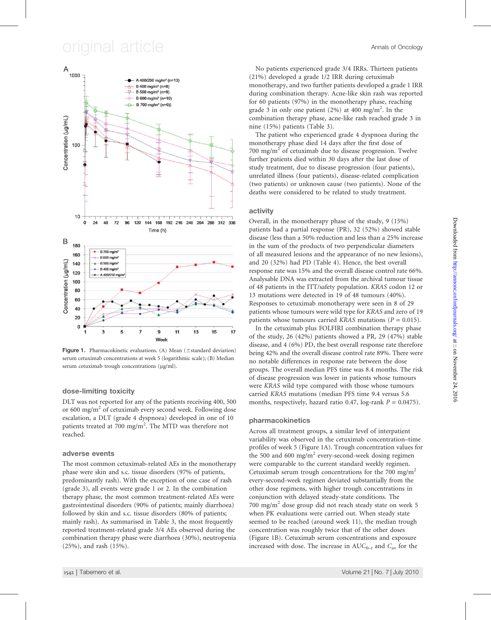# original article  $\overline{\phantom{a}}$  article  $\overline{\phantom{a}}$



Figure 1. Pharmacokinetic evaluations. (A) Mean ( $\pm$ standard deviation) serum cetuximab concentrations at week 5 (logarithmic scale); (B) Median serum cetuximab trough concentrations (µg/ml).

#### dose-limiting toxicity

DLT was not reported for any of the patients receiving 400, 500 or 600 mg/ $m<sup>2</sup>$  of cetuximab every second week. Following dose escalation, a DLT (grade 4 dyspnoea) developed in one of 10 patients treated at 700 mg/m<sup>2</sup>. The MTD was therefore not reached.

#### adverse events

The most common cetuximab-related AEs in the monotherapy phase were skin and s.c. tissue disorders (97% of patients, predominantly rash). With the exception of one case of rash (grade 3), all events were grade 1 or 2. In the combination therapy phase, the most common treatment-related AEs were gastrointestinal disorders (90% of patients; mainly diarrhoea) followed by skin and s.c. tissue disorders (80% of patients; mainly rash). As summarised in Table 3, the most frequently reported treatment-related grade 3/4 AEs observed during the combination therapy phase were diarrhoea (30%), neutropenia (25%), and rash (15%).

No patients experienced grade 3/4 IRRs. Thirteen patients (21%) developed a grade 1/2 IRR during cetuximab monotherapy, and two further patients developed a grade 1 IRR during combination therapy. Acne-like skin rash was reported for 60 patients (97%) in the monotherapy phase, reaching grade 3 in only one patient (2%) at 400 mg/m<sup>2</sup>. In the combination therapy phase, acne-like rash reached grade 3 in nine (15%) patients (Table 3).

The patient who experienced grade 4 dyspnoea during the monotherapy phase died 14 days after the first dose of 700 mg/m<sup>2</sup> of cetuximab due to disease progression. Twelve further patients died within 30 days after the last dose of study treatment, due to disease progression (four patients), unrelated illness (four patients), disease-related complication (two patients) or unknown cause (two patients). None of the deaths were considered to be related to study treatment.

### activity

Overall, in the monotherapy phase of the study, 9 (15%) patients had a partial response (PR), 32 (52%) showed stable disease (less than a 50% reduction and less than a 25% increase in the sum of the products of two perpendicular diameters of all measured lesions and the appearance of no new lesions), and 20 (32%) had PD (Table 4). Hence, the best overall response rate was 15% and the overall disease control rate 66%. Analysable DNA was extracted from the archival tumour tissue of 48 patients in the ITT/safety population. KRAS codon 12 or 13 mutations were detected in 19 of 48 tumours (40%). Responses to cetuximab monotherapy were seen in 8 of 29 patients whose tumours were wild type for KRAS and zero of 19 patients whose tumours carried KRAS mutations ( $P = 0.015$ ).

In the cetuximab plus FOLFIRI combination therapy phase of the study, 26 (42%) patients showed a PR, 29 (47%) stable disease, and 4 (6%) PD, the best overall response rate therefore being 42% and the overall disease control rate 89%. There were no notable differences in response rate between the dose groups. The overall median PFS time was 8.4 months. The risk of disease progression was lower in patients whose tumours were KRAS wild type compared with those whose tumours carried KRAS mutations (median PFS time 9.4 versus 5.6 months, respectively, hazard ratio 0.47, log-rank  $P = 0.0475$ ).

### pharmacokinetics

Across all treatment groups, a similar level of interpatient variability was observed in the cetuximab concentration–time profiles of week 5 (Figure 1A). Trough concentration values for the 500 and 600 mg/m<sup>2</sup> every-second-week dosing regimen were comparable to the current standard weekly regimen. Cetuximab serum trough concentrations for the 700 mg/m<sup>2</sup> every-second-week regimen deviated substantially from the other dose regimens, with higher trough concentrations in conjunction with delayed steady-state conditions. The 700 mg/m<sup>2</sup> dose group did not reach steady state on week 5 when PK evaluations were carried out. When steady state seemed to be reached (around week 11), the median trough concentration was roughly twice that of the other doses (Figure 1B). Cetuximab serum concentrations and exposure increased with dose. The increase in  $AUC_{0-t}$  and  $C_{av}$  for the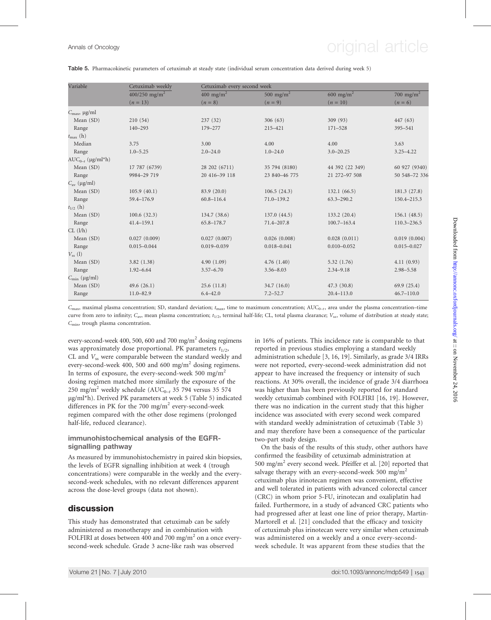# Annals of Oncology **Annals of Oncology** original article

#### Table 5. Pharmacokinetic parameters of cetuximab at steady state (individual serum concentration data derived during week 5)

| Variable                 | Cetuximab weekly          |                       | Cetuximab every second week |                       |                       |  |  |  |
|--------------------------|---------------------------|-----------------------|-----------------------------|-----------------------|-----------------------|--|--|--|
|                          | 400/250 mg/m <sup>2</sup> | 400 mg/m <sup>2</sup> | 500 mg/m <sup>2</sup>       | 600 mg/m <sup>2</sup> | 700 mg/m <sup>2</sup> |  |  |  |
|                          | $(n = 13)$                | $(n=8)$               | $(n = 9)$                   | $(n = 10)$            | $(n = 6)$             |  |  |  |
| $C_{\text{max}}$ , µg/ml |                           |                       |                             |                       |                       |  |  |  |
| Mean (SD)                | 210 (54)                  | 237(32)               | 306(63)                     | 309(93)               | 447 (63)              |  |  |  |
| Range                    | 140-293                   | 179-277               | 215-421                     | $171 - 528$           | 395-541               |  |  |  |
| $t_{\text{max}}$ (h)     |                           |                       |                             |                       |                       |  |  |  |
| Median                   | 3.75                      | 3.00                  | 4.00                        | 4.00                  | 3.63                  |  |  |  |
| Range                    | $1.0 - 5.25$              | $2.0 - 24.0$          | $1.0 - 24.0$                | $3.0 - 20.25$         | $3.25 - 4.22$         |  |  |  |
| $AUC_{0-t}$ (µg/ml*h)    |                           |                       |                             |                       |                       |  |  |  |
| Mean (SD)                | 17 787 (6739)             | 28 202 (6711)         | 35 794 (8180)               | 44 392 (22 349)       | 60 927 (9340)         |  |  |  |
| Range                    | 9984-29 719               | 20 416-39 118         | 23 840-46 775               | 21 272-97 508         | 50 548-72 336         |  |  |  |
| $C_{\rm av}$ (µg/ml)     |                           |                       |                             |                       |                       |  |  |  |
| Mean (SD)                | 105.9(40.1)               | 83.9 (20.0)           | 106.5(24.3)                 | 132.1(66.5)           | 181.3(27.8)           |  |  |  |
| Range                    | 59.4-176.9                | $60.8 - 116.4$        | $71.0 - 139.2$              | $63.3 - 290.2$        | 150.4-215.3           |  |  |  |
| $t_{1/2}$ (h)            |                           |                       |                             |                       |                       |  |  |  |
| Mean (SD)                | 100.6(32.3)               | 134.7 (38.6)          | 137.0(44.5)                 | 133.2(20.4)           | 156.1(48.5)           |  |  |  |
| Range                    | $41.4 - 159.1$            | 65.8-178.7            | 71.4-207.8                  | $100.7 - 163.4$       | 110.3-236.5           |  |  |  |
| CL (l/h)                 |                           |                       |                             |                       |                       |  |  |  |
| Mean (SD)                | 0.027(0.009)              | 0.027(0.007)          | 0.026(0.008)                | 0.028(0.011)          | 0.019(0.004)          |  |  |  |
| Range                    | $0.015 - 0.044$           | $0.019 - 0.039$       | $0.018 - 0.041$             | $0.010 - 0.052$       | $0.015 - 0.027$       |  |  |  |
| $V_{ss}$ (1)             |                           |                       |                             |                       |                       |  |  |  |
| Mean (SD)                | 3.82(1.38)                | 4.90(1.09)            | 4.76(1.40)                  | 5.32(1.76)            | 4.11(0.93)            |  |  |  |
| Range                    | $1.92 - 6.64$             | $3.57 - 6.70$         | $3.56 - 8.03$               | $2.34 - 9.18$         | $2.98 - 5.58$         |  |  |  |
| $C_{\text{min}}$ (µg/ml) |                           |                       |                             |                       |                       |  |  |  |
| Mean (SD)                | 49.6 $(26.1)$             | 25.6(11.8)            | 34.7(16.0)                  | 47.3(30.8)            | 69.9(25.4)            |  |  |  |
| Range                    | $11.0 - 82.9$             | $6.4 - 42.0$          | $7.2 - 52.7$                | $20.4 - 113.0$        | $46.7 - 110.0$        |  |  |  |
|                          |                           |                       |                             |                       |                       |  |  |  |

 $C_{\text{max}}$  maximal plasma concentration; SD, standard deviation;  $t_{\text{max}}$  time to maximum concentration; AUC<sub>0-t</sub>, area under the plasma concentration–time curve from zero to infinity;  $C_{\text{av}}$ , mean plasma concentration;  $t_{1/2}$ , terminal half-life; CL, total plasma clearance;  $V_{ss}$ , volume of distribution at steady state;  $C_{\text{min}}$ , trough plasma concentration.

every-second-week 400, 500, 600 and 700 mg/m<sup>2</sup> dosing regimens was approximately dose proportional. PK parameters  $t_{1/2}$ , CL and  $V_{ss}$  were comparable between the standard weekly and every-second-week 400, 500 and 600 mg/m<sup>2</sup> dosing regimens. In terms of exposure, the every-second-week 500 mg/m<sup>2</sup> dosing regimen matched more similarly the exposure of the 250 mg/m<sup>2</sup> weekly schedule (AUC<sub>0-t</sub> 35 794 versus 35 574 lg/ml\*h). Derived PK parameters at week 5 (Table 5) indicated differences in PK for the 700 mg/m<sup>2</sup> every-second-week regimen compared with the other dose regimens (prolonged half-life, reduced clearance).

#### immunohistochemical analysis of the EGFRsignalling pathway

As measured by immunohistochemistry in paired skin biopsies, the levels of EGFR signalling inhibition at week 4 (trough concentrations) were comparable in the weekly and the everysecond-week schedules, with no relevant differences apparent across the dose-level groups (data not shown).

### discussion

This study has demonstrated that cetuximab can be safely administered as monotherapy and in combination with FOLFIRI at doses between 400 and 700 mg/ $m<sup>2</sup>$  on a once everysecond-week schedule. Grade 3 acne-like rash was observed

in 16% of patients. This incidence rate is comparable to that reported in previous studies employing a standard weekly administration schedule [3, 16, 19]. Similarly, as grade 3/4 IRRs were not reported, every-second-week administration did not appear to have increased the frequency or intensity of such reactions. At 30% overall, the incidence of grade 3/4 diarrhoea was higher than has been previously reported for standard weekly cetuximab combined with FOLFIRI [16, 19]. However, there was no indication in the current study that this higher incidence was associated with every second week compared with standard weekly administration of cetuximab (Table 3) and may therefore have been a consequence of the particular two-part study design.

On the basis of the results of this study, other authors have confirmed the feasibility of cetuximab administration at 500 mg/m<sup>2</sup> every second week. Pfeiffer et al. [20] reported that salvage therapy with an every-second-week 500 mg/m<sup>2</sup> cetuximab plus irinotecan regimen was convenient, effective and well tolerated in patients with advanced colorectal cancer (CRC) in whom prior 5-FU, irinotecan and oxaliplatin had failed. Furthermore, in a study of advanced CRC patients who had progressed after at least one line of prior therapy, Martin-Martorell et al. [21] concluded that the efficacy and toxicity of cetuximab plus irinotecan were very similar when cetuximab was administered on a weekly and a once every-secondweek schedule. It was apparent from these studies that the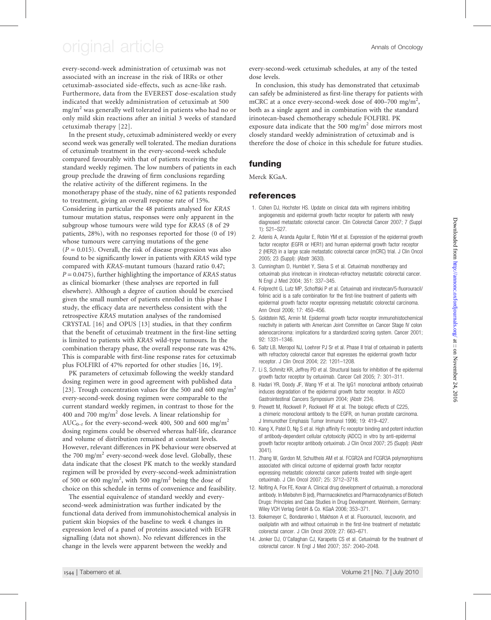# original article Annals of Oncology

every-second-week administration of cetuximab was not associated with an increase in the risk of IRRs or other cetuximab-associated side-effects, such as acne-like rash. Furthermore, data from the EVEREST dose-escalation study indicated that weekly administration of cetuximab at 500  $mg/m<sup>2</sup>$  was generally well tolerated in patients who had no or only mild skin reactions after an initial 3 weeks of standard cetuximab therapy [22].

In the present study, cetuximab administered weekly or every second week was generally well tolerated. The median durations of cetuximab treatment in the every-second-week schedule compared favourably with that of patients receiving the standard weekly regimen. The low numbers of patients in each group preclude the drawing of firm conclusions regarding the relative activity of the different regimens. In the monotherapy phase of the study, nine of 62 patients responded to treatment, giving an overall response rate of 15%. Considering in particular the 48 patients analysed for KRAS tumour mutation status, responses were only apparent in the subgroup whose tumours were wild type for KRAS (8 of 29 patients, 28%), with no responses reported for those (0 of 19) whose tumours were carrying mutations of the gene  $(P = 0.015)$ . Overall, the risk of disease progression was also found to be significantly lower in patients with KRAS wild type compared with KRAS-mutant tumours (hazard ratio 0.47;  $P = 0.0475$ , further highlighting the importance of KRAS status as clinical biomarker (these analyses are reported in full elsewhere). Although a degree of caution should be exercised given the small number of patients enrolled in this phase I study, the efficacy data are nevertheless consistent with the retrospective KRAS mutation analyses of the randomised CRYSTAL [16] and OPUS [13] studies, in that they confirm that the benefit of cetuximab treatment in the first-line setting is limited to patients with KRAS wild-type tumours. In the combination therapy phase, the overall response rate was 42%. This is comparable with first-line response rates for cetuximab plus FOLFIRI of 47% reported for other studies [16, 19].

PK parameters of cetuximab following the weekly standard dosing regimen were in good agreement with published data [23]. Trough concentration values for the 500 and 600 mg/m<sup>2</sup> every-second-week dosing regimen were comparable to the current standard weekly regimen, in contrast to those for the 400 and 700 mg/m<sup>2</sup> dose levels. A linear relationship for AUC<sub>0-t</sub> for the every-second-week 400, 500 and 600 mg/m<sup>2</sup> dosing regimens could be observed whereas half-life, clearance and volume of distribution remained at constant levels. However, relevant differences in PK behaviour were observed at the 700 mg/m<sup>2</sup> every-second-week dose level. Globally, these data indicate that the closest PK match to the weekly standard regimen will be provided by every-second-week administration of 500 or 600 mg/m<sup>2</sup>, with 500 mg/m<sup>2</sup> being the dose of choice on this schedule in terms of convenience and feasibility.

The essential equivalence of standard weekly and everysecond-week administration was further indicated by the functional data derived from immunohistochemical analysis in patient skin biopsies of the baseline to week 4 changes in expression level of a panel of proteins associated with EGFR signalling (data not shown). No relevant differences in the change in the levels were apparent between the weekly and

every-second-week cetuximab schedules, at any of the tested dose levels.

In conclusion, this study has demonstrated that cetuximab can safely be administered as first-line therapy for patients with mCRC at a once every-second-week dose of 400-700 mg/m<sup>2</sup>, both as a single agent and in combination with the standard irinotecan-based chemotherapy schedule FOLFIRI. PK exposure data indicate that the 500 mg/ $m<sup>2</sup>$  dose mirrors most closely standard weekly administration of cetuximab and is therefore the dose of choice in this schedule for future studies.

## funding

Merck KGaA.

### references

- 1. Cohen DJ, Hochster HS. Update on clinical data with regimens inhibiting angiogenesis and epidermal growth factor receptor for patients with newly diagnosed metastatic colorectal cancer. Clin Colorectal Cancer 2007; 7 (Suppl 1): S21–S27.
- 2. Adenis A, Aranda Aguilar E, Robin YM et al. Expression of the epidermal growth factor receptor (EGFR or HER1) and human epidermal growth factor receptor 2 (HER2) in a large scale metastatic colorectal cancer (mCRC) trial. J Clin Oncol 2005; 23 (Suppl): (Abstr 3630).
- 3. Cunningham D, Humblet Y, Siena S et al. Cetuximab monotherapy and cetuximab plus irinotecan in irinotecan-refractory metastatic colorectal cancer. N Engl J Med 2004; 351: 337–345.
- 4. Folprecht G, Lutz MP, Schoffski P et al. Cetuximab and irinotecan/5-fluorouracil/ folinic acid is a safe combination for the first-line treatment of patients with epidermal growth factor receptor expressing metastatic colorectal carcinoma. Ann Oncol 2006; 17: 450–456.
- 5. Goldstein NS, Armin M. Epidermal growth factor receptor immunohistochemical reactivity in patients with American Joint Committee on Cancer Stage IV colon adenocarcinoma: implications for a standardized scoring system. Cancer 2001; 92: 1331–1346.
- 6. Saltz LB, Meropol NJ, Loehrer PJ Sr et al. Phase II trial of cetuximab in patients with refractory colorectal cancer that expresses the epidermal growth factor receptor. J Clin Oncol 2004; 22: 1201–1208.
- 7. Li S, Schmitz KR, Jeffrey PD et al. Structural basis for inhibition of the epidermal growth factor receptor by cetuximab. Cancer Cell 2005; 7: 301–311.
- 8. Hadari YR, Doody JF, Wang YF et al. The IgG1 monoclonal antibody cetuximab induces degradation of the epidermal growth factor receptor. In ASCO Gastrointestinal Cancers Symposium 2004; (Abstr 234).
- 9. Prewett M, Rockwell P, Rockwell RF et al. The biologic effects of C225, a chimeric monoclonal antibody to the EGFR, on human prostate carcinoma. J Immunother Emphasis Tumor Immunol 1996; 19: 419–427.
- 10. Kang X, Patel D, Ng S et al. High affinity Fc receptor binding and potent induction of antibody-dependent cellular cytotoxicity (ADCC) in vitro by anti-epidermal growth factor receptor antibody cetuximab. J Clin Oncol 2007; 25 (Suppl): (Abstr 3041).
- 11. Zhang W, Gordon M, Schultheis AM et al. FCGR2A and FCGR3A polymorphisms associated with clinical outcome of epidermal growth factor receptor expressing metastatic colorectal cancer patients treated with single-agent cetuximab. J Clin Oncol 2007; 25: 3712–3718.
- 12. Nolting A, Fox FE, Kovar A. Clinical drug development of cetuximab, a monoclonal antibody. In Meibohm B (ed), Pharmacokinetics and Pharmacodynamics of Biotech Drugs: Principles and Case Studies in Drug Development. Weinheim, Germany: Wiley VCH Verlag GmbH & Co. KGaA 2006; 353–371.
- 13. Bokemeyer C, Bondarenko I, Makhson A et al. Fluorouracil, leucovorin, and oxaliplatin with and without cetuximab in the first-line treatment of metastatic colorectal cancer. J Clin Oncol 2009; 27: 663–671.
- 14. Jonker DJ, O'Callaghan CJ, Karapetis CS et al. Cetuximab for the treatment of colorectal cancer. N Engl J Med 2007; 357: 2040–2048.